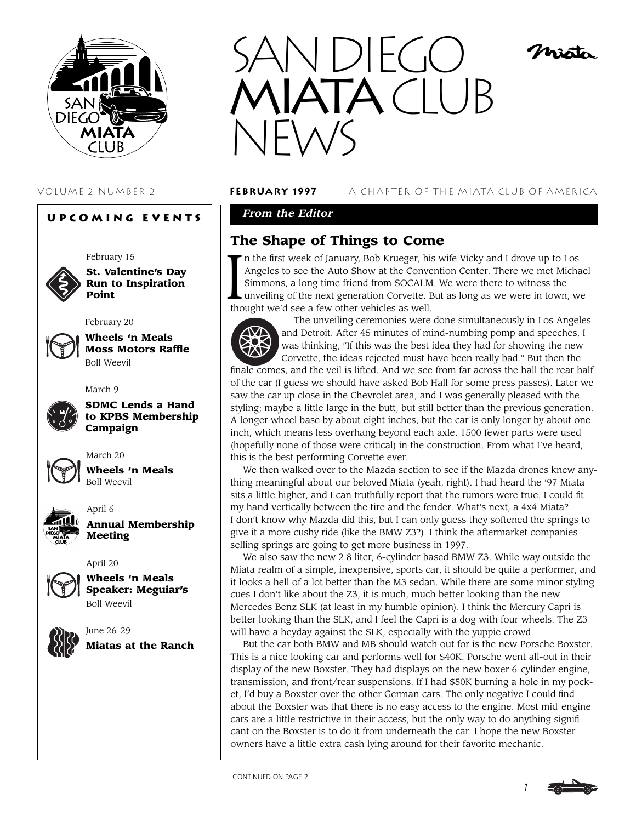

# **Upcoming Events**

February 15

February 20



**St. Valentine's Day Run to Inspiration Point**



**Wheels 'n Meals Moss Motors Raffle** Boll Weevil

March 9



**SDMC Lends a Hand to KPBS Membership Campaign**



**Wheels 'n Meals** Boll Weevil

March 20



April 6 **Annual Membership Meeting**

April 20



**Wheels 'n Meals Speaker: Meguiar's** Boll Weevil



June 26–29 **Miatas at the Ranch**



### VOLUME 2 NUMBER 2 **february 1997** A CHAPTER OF THE MIATA CLUB OF AMERICA

histo

# *From the Editor*

# **The Shape of Things to Come**

In the first week of January, Bob Krueger, his Angeles to see the Auto Show at the Conversion Simmons, a long time friend from SOCALM.<br>
unveiling of the next generation Corvette. B thought we'd see a few other vehicles as n the first week of January, Bob Krueger, his wife Vicky and I drove up to Los Angeles to see the Auto Show at the Convention Center. There we met Michael Simmons, a long time friend from SOCALM. We were there to witness the unveiling of the next generation Corvette. But as long as we were in town, we



The unveiling ceremonies were done simultaneously in Los Angeles and Detroit. After 45 minutes of mind-numbing pomp and speeches, I was thinking, "If this was the best idea they had for showing the new Corvette, the ideas rejected must have been really bad." But then the

finale comes, and the veil is lifted. And we see from far across the hall the rear half of the car (I guess we should have asked Bob Hall for some press passes). Later we saw the car up close in the Chevrolet area, and I was generally pleased with the styling; maybe a little large in the butt, but still better than the previous generation. A longer wheel base by about eight inches, but the car is only longer by about one inch, which means less overhang beyond each axle. 1500 fewer parts were used (hopefully none of those were critical) in the construction. From what I've heard, this is the best performing Corvette ever.

We then walked over to the Mazda section to see if the Mazda drones knew anything meaningful about our beloved Miata (yeah, right). I had heard the '97 Miata sits a little higher, and I can truthfully report that the rumors were true. I could fit my hand vertically between the tire and the fender. What's next, a 4x4 Miata? I don't know why Mazda did this, but I can only guess they softened the springs to give it a more cushy ride (like the BMW Z3?). I think the aftermarket companies selling springs are going to get more business in 1997.

We also saw the new 2.8 liter, 6-cylinder based BMW Z3. While way outside the Miata realm of a simple, inexpensive, sports car, it should be quite a performer, and it looks a hell of a lot better than the M3 sedan. While there are some minor styling cues I don't like about the Z3, it is much, much better looking than the new Mercedes Benz SLK (at least in my humble opinion). I think the Mercury Capri is better looking than the SLK, and I feel the Capri is a dog with four wheels. The Z3 will have a heyday against the SLK, especially with the yuppie crowd.

But the car both BMW and MB should watch out for is the new Porsche Boxster. This is a nice looking car and performs well for \$40K. Porsche went all-out in their display of the new Boxster. They had displays on the new boxer 6-cylinder engine, transmission, and front/rear suspensions. If I had \$50K burning a hole in my pocket, I'd buy a Boxster over the other German cars. The only negative I could find about the Boxster was that there is no easy access to the engine. Most mid-engine cars are a little restrictive in their access, but the only way to do anything significant on the Boxster is to do it from underneath the car. I hope the new Boxster owners have a little extra cash lying around for their favorite mechanic.

CONTINUED ON PAGE 2

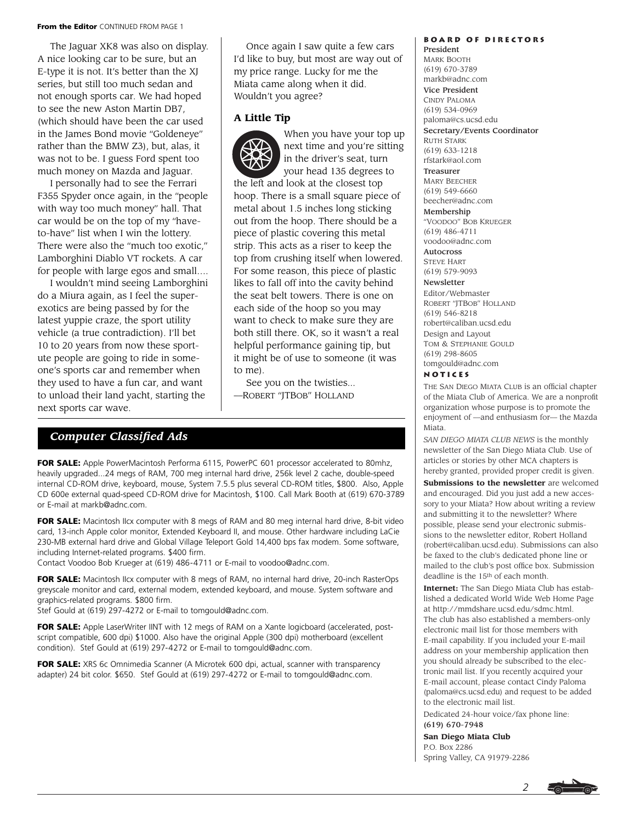#### **From the Editor** CONTINUED FROM PAGE 1

The Jaguar XK8 was also on display. A nice looking car to be sure, but an E-type it is not. It's better than the XJ series, but still too much sedan and not enough sports car. We had hoped to see the new Aston Martin DB7, (which should have been the car used in the James Bond movie "Goldeneye" rather than the BMW Z3), but, alas, it was not to be. I guess Ford spent too much money on Mazda and Jaguar.

I personally had to see the Ferrari F355 Spyder once again, in the "people with way too much money" hall. That car would be on the top of my "haveto-have" list when I win the lottery. There were also the "much too exotic," Lamborghini Diablo VT rockets. A car for people with large egos and small….

I wouldn't mind seeing Lamborghini do a Miura again, as I feel the superexotics are being passed by for the latest yuppie craze, the sport utility vehicle (a true contradiction). I'll bet 10 to 20 years from now these sportute people are going to ride in someone's sports car and remember when they used to have a fun car, and want to unload their land yacht, starting the next sports car wave.

Once again I saw quite a few cars I'd like to buy, but most are way out of my price range. Lucky for me the Miata came along when it did. Wouldn't you agree?

### **A Little Tip**



When you have your top up next time and you're sitting in the driver's seat, turn your head 135 degrees to the left and look at the closest top

hoop. There is a small square piece of metal about 1.5 inches long sticking out from the hoop. There should be a piece of plastic covering this metal strip. This acts as a riser to keep the top from crushing itself when lowered. For some reason, this piece of plastic likes to fall off into the cavity behind the seat belt towers. There is one on each side of the hoop so you may want to check to make sure they are both still there. OK, so it wasn't a real helpful performance gaining tip, but it might be of use to someone (it was to me).

See you on the twisties... —ROBERT "JTBOB" HOLLAND

# *Computer Classified Ads*

**FOR SALE:** Apple PowerMacintosh Performa 6115, PowerPC 601 processor accelerated to 80mhz, heavily upgraded...24 megs of RAM, 700 meg internal hard drive, 256k level 2 cache, double-speed internal CD-ROM drive, keyboard, mouse, System 7.5.5 plus several CD-ROM titles, \$800. Also, Apple CD 600e external quad-speed CD-ROM drive for Macintosh, \$100. Call Mark Booth at (619) 670-3789 or E-mail at markb@adnc.com.

**FOR SALE:** Macintosh IIcx computer with 8 megs of RAM and 80 meg internal hard drive, 8-bit video card, 13-inch Apple color monitor, Extended Keyboard II, and mouse. Other hardware including LaCie 230-MB external hard drive and Global Village Teleport Gold 14,400 bps fax modem. Some software, including Internet-related programs. \$400 firm.

Contact Voodoo Bob Krueger at (619) 486-4711 or E-mail to voodoo@adnc.com.

**FOR SALE:** Macintosh IIcx computer with 8 megs of RAM, no internal hard drive, 20-inch RasterOps greyscale monitor and card, external modem, extended keyboard, and mouse. System software and graphics-related programs. \$800 firm.

Stef Gould at (619) 297-4272 or E-mail to tomgould@adnc.com.

FOR SALE: Apple LaserWriter IINT with 12 megs of RAM on a Xante logicboard (accelerated, postscript compatible, 600 dpi) \$1000. Also have the original Apple (300 dpi) motherboard (excellent condition). Stef Gould at (619) 297-4272 or E-mail to tomgould@adnc.com.

FOR SALE: XRS 6c Omnimedia Scanner (A Microtek 600 dpi, actual, scanner with transparency adapter) 24 bit color. \$650. Stef Gould at (619) 297-4272 or E-mail to tomgould@adnc.com.

#### **Board of Directors** President

MARK BOOTH (619) 670-3789 markb@adnc.com Vice President CINDY PALOMA (619) 534-0969 paloma@cs.ucsd.edu Secretary/Events Coordinator RUTH STARK (619) 633-1218 rfstark@aol.com Treasurer MARY BEECHER (619) 549-6660 beecher@adnc.com Membership "VOODOO" BOB KRUEGER (619) 486-4711

voodoo@adnc.com Autocross

STEVE HART (619) 579-9093

# Newsletter

Editor/Webmaster ROBERT "JTBOB" HOLLAND (619) 546-8218 robert@caliban.ucsd.edu Design and Layout TOM & STEPHANIE GOULD (619) 298-8605 tomgould@adnc.com

#### **Notices**

THE SAN DIEGO MIATA CLUB is an official chapter of the Miata Club of America. We are a nonprofit organization whose purpose is to promote the enjoyment of —and enthusiasm for— the Mazda Miata.

*SAN DIEGO MIATA CLUB NEWS* is the monthly newsletter of the San Diego Miata Club. Use of articles or stories by other MCA chapters is hereby granted, provided proper credit is given. **Submissions to the newsletter** are welcomed and encouraged. Did you just add a new accessory to your Miata? How about writing a review and submitting it to the newsletter? Where possible, please send your electronic submissions to the newsletter editor, Robert Holland (robert@caliban.ucsd.edu). Submissions can also be faxed to the club's dedicated phone line or mailed to the club's post office box. Submission deadline is the 15th of each month.

**Internet:** The San Diego Miata Club has established a dedicated World Wide Web Home Page at http://mmdshare.ucsd.edu/sdmc.html. The club has also established a members-only electronic mail list for those members with E-mail capability. If you included your E-mail address on your membership application then you should already be subscribed to the electronic mail list. If you recently acquired your E-mail account, please contact Cindy Paloma (paloma@cs.ucsd.edu) and request to be added to the electronic mail list.

Dedicated 24-hour voice/fax phone line:

# (619) 670-7948

**San Diego Miata Club** P.O. Box 2286 Spring Valley, CA 91979-2286



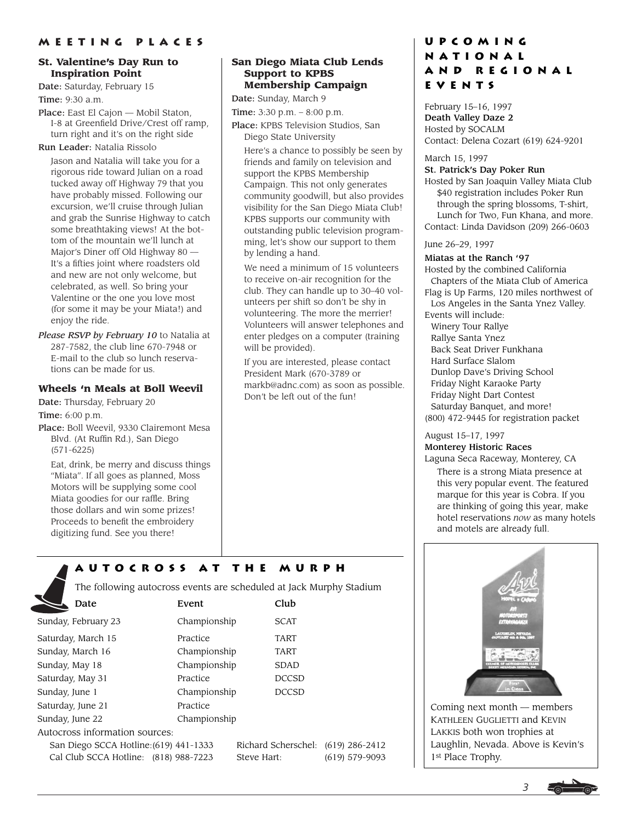# **St. Valentine's Day Run to Inspiration Point**

Date: Saturday, February 15 Time: 9:30 a.m.

Place: East El Cajon — Mobil Staton, I-8 at Greenfield Drive/Crest off ramp, turn right and it's on the right side

Run Leader: Natalia Rissolo

Jason and Natalia will take you for a rigorous ride toward Julian on a road tucked away off Highway 79 that you have probably missed. Following our excursion, we'll cruise through Julian and grab the Sunrise Highway to catch some breathtaking views! At the bottom of the mountain we'll lunch at Major's Diner off Old Highway 80 — It's a fifties joint where roadsters old and new are not only welcome, but celebrated, as well. So bring your Valentine or the one you love most (for some it may be your Miata!) and enjoy the ride.

*Please RSVP by February 10* to Natalia at 287-7582, the club line 670-7948 or E-mail to the club so lunch reservations can be made for us.

### **Wheels 'n Meals at Boll Weevil**

Date: Thursday, February 20 Time: 6:00 p.m.

Place: Boll Weevil, 9330 Clairemont Mesa Blvd. (At Ruffin Rd.), San Diego (571-6225)

Eat, drink, be merry and discuss things "Miata". If all goes as planned, Moss Motors will be supplying some cool Miata goodies for our raffle. Bring those dollars and win some prizes! Proceeds to benefit the embroidery digitizing fund. See you there!

#### **San Diego Miata Club Lends Support to KPBS Membership Campaign**

Date: Sunday, March 9 Time: 3:30 p.m. – 8:00 p.m.

Place: KPBS Television Studios, San Diego State University

Here's a chance to possibly be seen by friends and family on television and support the KPBS Membership Campaign. This not only generates community goodwill, but also provides visibility for the San Diego Miata Club! KPBS supports our community with outstanding public television programming, let's show our support to them by lending a hand.

We need a minimum of 15 volunteers to receive on-air recognition for the club. They can handle up to 30–40 volunteers per shift so don't be shy in volunteering. The more the merrier! Volunteers will answer telephones and enter pledges on a computer (training will be provided).

If you are interested, please contact President Mark (670-3789 or markb@adnc.com) as soon as possible. Don't be left out of the fun!

# **Upcoming National and Regional Events**

February 15–16, 1997 Death Valley Daze 2 Hosted by SOCALM Contact: Delena Cozart (619) 624-9201

#### March 15, 1997

#### St. Patrick's Day Poker Run

Hosted by San Joaquin Valley Miata Club \$40 registration includes Poker Run through the spring blossoms, T-shirt, Lunch for Two, Fun Khana, and more. Contact: Linda Davidson (209) 266-0603

#### June 26–29, 1997

### Miatas at the Ranch '97

Hosted by the combined California Chapters of the Miata Club of America Flag is Up Farms, 120 miles northwest of Los Angeles in the Santa Ynez Valley. Events will include: Winery Tour Rallye Rallye Santa Ynez Back Seat Driver Funkhana Hard Surface Slalom Dunlop Dave's Driving School Friday Night Karaoke Party Friday Night Dart Contest

Saturday Banquet, and more! (800) 472-9445 for registration packet

August 15–17, 1997

# Monterey Historic Races

Laguna Seca Raceway, Monterey, CA

There is a strong Miata presence at this very popular event. The featured marque for this year is Cobra. If you are thinking of going this year, make hotel reservations *now* as many hotels and motels are already full.

Coming next month — members KATHLEEN GUGLIETTI and KEVIN LAKKIS both won trophies at Laughlin, Nevada. Above is Kevin's 1st Place Trophy.

# **Autocross at the Murph**

The following autocross events are scheduled at Jack Murphy Stadium

| Date                                   | Event        | Club                               |                  |
|----------------------------------------|--------------|------------------------------------|------------------|
| Sunday, February 23                    | Championship | <b>SCAT</b>                        |                  |
| Saturday, March 15                     | Practice     | TART                               |                  |
| Sunday, March 16                       | Championship | TART                               |                  |
| Sunday, May 18                         | Championship | <b>SDAD</b>                        |                  |
| Saturday, May 31                       | Practice     | <b>DCCSD</b>                       |                  |
| Sunday, June 1                         | Championship | <b>DCCSD</b>                       |                  |
| Saturday, June 21                      | Practice     |                                    |                  |
| Sunday, June 22                        | Championship |                                    |                  |
| Autocross information sources:         |              |                                    |                  |
| San Diego SCCA Hotline: (619) 441-1333 |              | Richard Scherschel: (619) 286-2412 |                  |
| Cal Club SCCA Hotline: (818) 988-7223  |              | Steve Hart:                        | $(619)$ 579-9093 |

*3*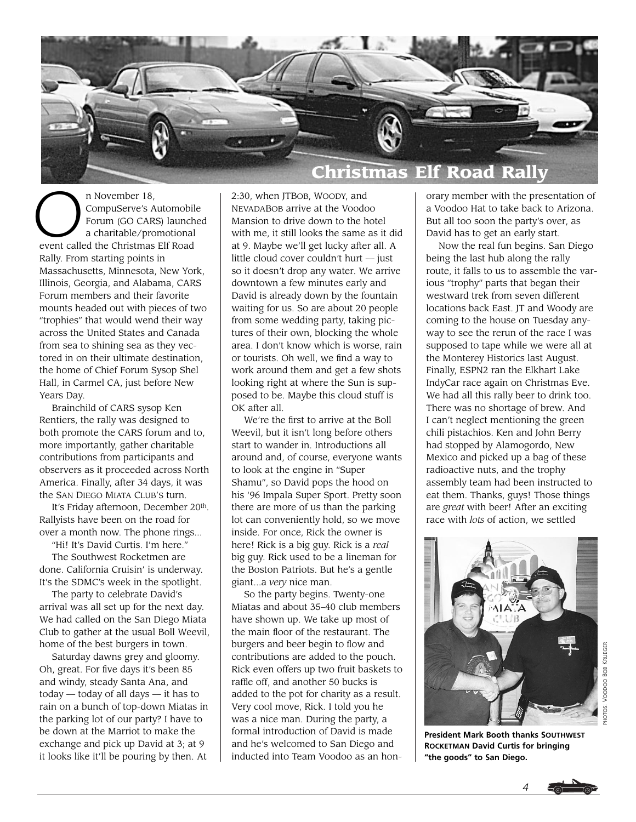

n November 18,<br>CompuServe's A<br>Forum (GO CAR<br>a charitable/pro CompuServe's Automobile Forum (GO CARS) launched a charitable/promotional event called the Christmas Elf Road Rally. From starting points in Massachusetts, Minnesota, New York, Illinois, Georgia, and Alabama, CARS Forum members and their favorite mounts headed out with pieces of two "trophies" that would wend their way across the United States and Canada from sea to shining sea as they vectored in on their ultimate destination, the home of Chief Forum Sysop Shel Hall, in Carmel CA, just before New Years Day.

Brainchild of CARS sysop Ken Rentiers, the rally was designed to both promote the CARS forum and to, more importantly, gather charitable contributions from participants and observers as it proceeded across North America. Finally, after 34 days, it was the SAN DIEGO MIATA CLUB'S turn.

It's Friday afternoon, December 20th. Rallyists have been on the road for over a month now. The phone rings...

"Hi! It's David Curtis. I'm here." The Southwest Rocketmen are done. California Cruisin' is underway. It's the SDMC's week in the spotlight.

The party to celebrate David's arrival was all set up for the next day. We had called on the San Diego Miata Club to gather at the usual Boll Weevil, home of the best burgers in town.

Saturday dawns grey and gloomy. Oh, great. For five days it's been 85 and windy, steady Santa Ana, and today — today of all days — it has to rain on a bunch of top-down Miatas in the parking lot of our party? I have to be down at the Marriot to make the exchange and pick up David at 3; at 9 it looks like it'll be pouring by then. At

2:30, when JTBOB, WOODY, and NEVADABOB arrive at the Voodoo Mansion to drive down to the hotel with me, it still looks the same as it did at 9. Maybe we'll get lucky after all. A little cloud cover couldn't hurt — just so it doesn't drop any water. We arrive downtown a few minutes early and David is already down by the fountain waiting for us. So are about 20 people from some wedding party, taking pictures of their own, blocking the whole area. I don't know which is worse, rain or tourists. Oh well, we find a way to work around them and get a few shots looking right at where the Sun is supposed to be. Maybe this cloud stuff is OK after all.

We're the first to arrive at the Boll Weevil, but it isn't long before others start to wander in. Introductions all around and, of course, everyone wants to look at the engine in "Super Shamu", so David pops the hood on his '96 Impala Super Sport. Pretty soon there are more of us than the parking lot can conveniently hold, so we move inside. For once, Rick the owner is here! Rick is a big guy. Rick is a *real* big guy. Rick used to be a lineman for the Boston Patriots. But he's a gentle giant...a *very* nice man.

So the party begins. Twenty-one Miatas and about 35–40 club members have shown up. We take up most of the main floor of the restaurant. The burgers and beer begin to flow and contributions are added to the pouch. Rick even offers up two fruit baskets to raffle off, and another 50 bucks is added to the pot for charity as a result. Very cool move, Rick. I told you he was a nice man. During the party, a formal introduction of David is made and he's welcomed to San Diego and inducted into Team Voodoo as an hon-

orary member with the presentation of a Voodoo Hat to take back to Arizona. But all too soon the party's over, as David has to get an early start.

Now the real fun begins. San Diego being the last hub along the rally route, it falls to us to assemble the various "trophy" parts that began their westward trek from seven different locations back East. JT and Woody are coming to the house on Tuesday anyway to see the rerun of the race I was supposed to tape while we were all at the Monterey Historics last August. Finally, ESPN2 ran the Elkhart Lake IndyCar race again on Christmas Eve. We had all this rally beer to drink too. There was no shortage of brew. And I can't neglect mentioning the green chili pistachios. Ken and John Berry had stopped by Alamogordo, New Mexico and picked up a bag of these radioactive nuts, and the trophy assembly team had been instructed to eat them. Thanks, guys! Those things are *great* with beer! After an exciting race with *lots* of action, we settled



**President Mark Booth thanks SOUTHWEST ROCKETMAN David Curtis for bringing "the goods" to San Diego.**

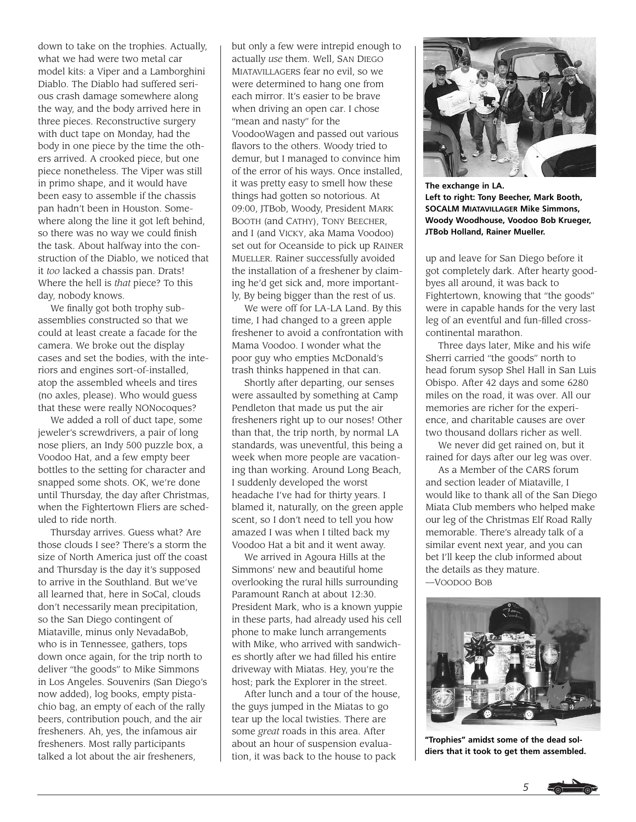down to take on the trophies. Actually, what we had were two metal car model kits: a Viper and a Lamborghini Diablo. The Diablo had suffered serious crash damage somewhere along the way, and the body arrived here in three pieces. Reconstructive surgery with duct tape on Monday, had the body in one piece by the time the others arrived. A crooked piece, but one piece nonetheless. The Viper was still in primo shape, and it would have been easy to assemble if the chassis pan hadn't been in Houston. Somewhere along the line it got left behind, so there was no way we could finish the task. About halfway into the construction of the Diablo, we noticed that it *too* lacked a chassis pan. Drats! Where the hell is *that* piece? To this day, nobody knows.

We finally got both trophy subassemblies constructed so that we could at least create a facade for the camera. We broke out the display cases and set the bodies, with the interiors and engines sort-of-installed, atop the assembled wheels and tires (no axles, please). Who would guess that these were really NONocoques?

We added a roll of duct tape, some jeweler's screwdrivers, a pair of long nose pliers, an Indy 500 puzzle box, a Voodoo Hat, and a few empty beer bottles to the setting for character and snapped some shots. OK, we're done until Thursday, the day after Christmas, when the Fightertown Fliers are scheduled to ride north.

Thursday arrives. Guess what? Are those clouds I see? There's a storm the size of North America just off the coast and Thursday is the day it's supposed to arrive in the Southland. But we've all learned that, here in SoCal, clouds don't necessarily mean precipitation, so the San Diego contingent of Miataville, minus only NevadaBob, who is in Tennessee, gathers, tops down once again, for the trip north to deliver "the goods" to Mike Simmons in Los Angeles. Souvenirs (San Diego's now added), log books, empty pistachio bag, an empty of each of the rally beers, contribution pouch, and the air fresheners. Ah, yes, the infamous air fresheners. Most rally participants talked a lot about the air fresheners,

but only a few were intrepid enough to actually *use* them. Well, SAN DIEGO MIATAVILLAGERS fear no evil, so we were determined to hang one from each mirror. It's easier to be brave when driving an open car. I chose "mean and nasty" for the VoodooWagen and passed out various flavors to the others. Woody tried to demur, but I managed to convince him of the error of his ways. Once installed, it was pretty easy to smell how these things had gotten so notorious. At 09:00, JTBob, Woody, President MARK BOOTH (and CATHY), TONY BEECHER, and I (and VICKY, aka Mama Voodoo) set out for Oceanside to pick up RAINER MUELLER. Rainer successfully avoided the installation of a freshener by claiming he'd get sick and, more importantly, By being bigger than the rest of us.

We were off for LA-LA Land. By this time, I had changed to a green apple freshener to avoid a confrontation with Mama Voodoo. I wonder what the poor guy who empties McDonald's trash thinks happened in that can.

Shortly after departing, our senses were assaulted by something at Camp Pendleton that made us put the air fresheners right up to our noses! Other than that, the trip north, by normal LA standards, was uneventful, this being a week when more people are vacationing than working. Around Long Beach, I suddenly developed the worst headache I've had for thirty years. I blamed it, naturally, on the green apple scent, so I don't need to tell you how amazed I was when I tilted back my Voodoo Hat a bit and it went away.

We arrived in Agoura Hills at the Simmons' new and beautiful home overlooking the rural hills surrounding Paramount Ranch at about 12:30. President Mark, who is a known yuppie in these parts, had already used his cell phone to make lunch arrangements with Mike, who arrived with sandwiches shortly after we had filled his entire driveway with Miatas. Hey, you're the host; park the Explorer in the street.

After lunch and a tour of the house, the guys jumped in the Miatas to go tear up the local twisties. There are some *great* roads in this area. After about an hour of suspension evaluation, it was back to the house to pack



**The exchange in LA. Left to right: Tony Beecher, Mark Booth, SOCALM MIATAVILLAGER Mike Simmons, Woody Woodhouse, Voodoo Bob Krueger, JTBob Holland, Rainer Mueller.**

up and leave for San Diego before it got completely dark. After hearty goodbyes all around, it was back to Fightertown, knowing that "the goods" were in capable hands for the very last leg of an eventful and fun-filled crosscontinental marathon.

Three days later, Mike and his wife Sherri carried "the goods" north to head forum sysop Shel Hall in San Luis Obispo. After 42 days and some 6280 miles on the road, it was over. All our memories are richer for the experience, and charitable causes are over two thousand dollars richer as well.

We never did get rained on, but it rained for days after our leg was over.

As a Member of the CARS forum and section leader of Miataville, I would like to thank all of the San Diego Miata Club members who helped make our leg of the Christmas Elf Road Rally memorable. There's already talk of a similar event next year, and you can bet I'll keep the club informed about the details as they mature. —VOODOO BOB



**"Trophies" amidst some of the dead soldiers that it took to get them assembled.**

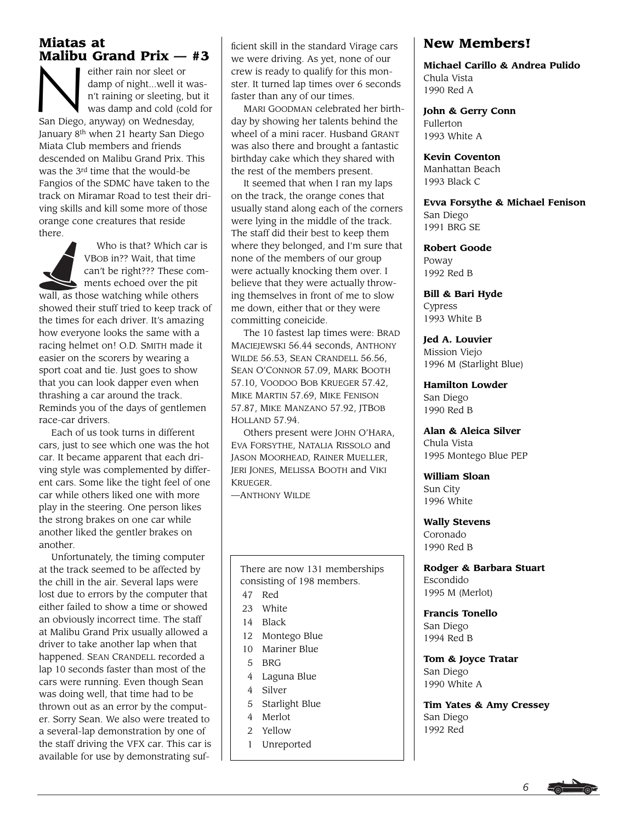# **Miatas at**

**Malibu Grand Prix — #3**<br>
either rain nor sleet or<br>
damp of night...well it was-<br>
n't raining or sleeting, but it<br>
was damp and cold (cold for damp of night...well it wasn't raining or sleeting, but it was damp and cold (cold for San Diego, anyway) on Wednesday, January 8th when 21 hearty San Diego Miata Club members and friends descended on Malibu Grand Prix. This was the 3rd time that the would-be Fangios of the SDMC have taken to the track on Miramar Road to test their driving skills and kill some more of those orange cone creatures that reside there.



Who is that? Which car is VBOB in?? Wait, that time can't be right??? These comments echoed over the pit

wall, as those watching while others showed their stuff tried to keep track of the times for each driver. It's amazing how everyone looks the same with a racing helmet on! O.D. SMITH made it easier on the scorers by wearing a sport coat and tie. Just goes to show that you can look dapper even when thrashing a car around the track. Reminds you of the days of gentlemen race-car drivers.

Each of us took turns in different cars, just to see which one was the hot car. It became apparent that each driving style was complemented by different cars. Some like the tight feel of one car while others liked one with more play in the steering. One person likes the strong brakes on one car while another liked the gentler brakes on another.

Unfortunately, the timing computer at the track seemed to be affected by the chill in the air. Several laps were lost due to errors by the computer that either failed to show a time or showed an obviously incorrect time. The staff at Malibu Grand Prix usually allowed a driver to take another lap when that happened. SEAN CRANDELL recorded a lap 10 seconds faster than most of the cars were running. Even though Sean was doing well, that time had to be thrown out as an error by the computer. Sorry Sean. We also were treated to a several-lap demonstration by one of the staff driving the VFX car. This car is available for use by demonstrating sufficient skill in the standard Virage cars we were driving. As yet, none of our crew is ready to qualify for this monster. It turned lap times over 6 seconds faster than any of our times.

MARI GOODMAN celebrated her birthday by showing her talents behind the wheel of a mini racer. Husband GRANT was also there and brought a fantastic birthday cake which they shared with the rest of the members present.

It seemed that when I ran my laps on the track, the orange cones that usually stand along each of the corners were lying in the middle of the track. The staff did their best to keep them where they belonged, and I'm sure that none of the members of our group were actually knocking them over. I believe that they were actually throwing themselves in front of me to slow me down, either that or they were committing coneicide.

The 10 fastest lap times were: BRAD MACIEJEWSKI 56.44 seconds, ANTHONY WILDE 56.53, SEAN CRANDELL 56.56, SEAN O'CONNOR 57.09, MARK BOOTH 57.10, VOODOO BOB KRUEGER 57.42, MIKE MARTIN 57.69, MIKE FENISON 57.87, MIKE MANZANO 57.92, JTBOB HOLLAND 57.94.

Others present were JOHN O'HARA, EVA FORSYTHE, NATALIA RISSOLO and JASON MOORHEAD, RAINER MUELLER, JERI JONES, MELISSA BOOTH and VIKI KRUEGER.

—ANTHONY WILDE

There are now 131 memberships consisting of 198 members.

- 47 Red
- 23 White
- 14 Black
- 12 Montego Blue
- 10 Mariner Blue
- 5 BRG
- 4 Laguna Blue
- 4 Silver
- 5 Starlight Blue
- 4 Merlot
- 2 Yellow
- 1 Unreported

# **New Members!**

**Michael Carillo & Andrea Pulido** Chula Vista 1990 Red A

**John & Gerry Conn** Fullerton 1993 White A

**Kevin Coventon** Manhattan Beach

1993 Black C

**Evva Forsythe & Michael Fenison** San Diego 1991 BRG SE

**Robert Goode** Poway 1992 Red B

**Bill & Bari Hyde** Cypress 1993 White B

**Jed A. Louvier** Mission Viejo 1996 M (Starlight Blue)

**Hamilton Lowder** San Diego 1990 Red B

**Alan & Aleica Silver** Chula Vista 1995 Montego Blue PEP

**William Sloan** Sun City 1996 White

**Wally Stevens** Coronado 1990 Red B

**Rodger & Barbara Stuart** Escondido 1995 M (Merlot)

**Francis Tonello** San Diego 1994 Red B

**Tom & Joyce Tratar** San Diego 1990 White A

**Tim Yates & Amy Cressey** San Diego 1992 Red